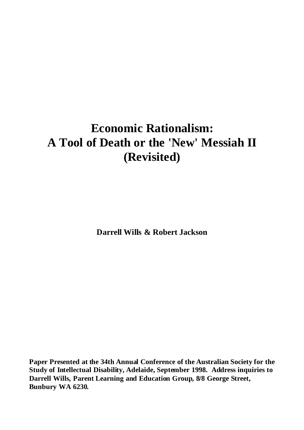# **Economic Rationalism: A Tool of Death or the 'New' Messiah II (Revisited)**

**Darrell Wills & Robert Jackson**

**Paper Presented at the 34th Annual Conference of the Australian Society for the Study of Intellectual Disability, Adelaide, September 1998. Address inquiries to Darrell Wills, Parent Learning and Education Group, 8/8 George Street, Bunbury WA 6230.**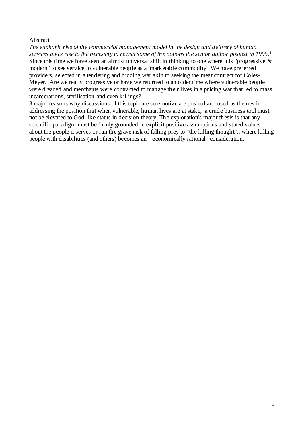#### Abstract

*The euphoric rise of the commercial management model in the design and delivery of human services gives rise to the necessity to revisit some of the notions the senior author posited in 1995. <sup>1</sup>* Since this time we have seen an almost universal shift in thinking to one where it is "progressive & modern" to see service to vulnerable people as a 'marketable commodity'. We have preferred providers, selected in a tendering and bidding war akin to seeking the meat contract for Coles-Meyer. Are we really progressive or have we returned to an older time where vulnerable people were dreaded and merchants were contracted to manage their lives in a pricing war that led to mass incarcerations, sterilisation and even killings?

3 major reasons why discussions of this topic are so emotive are posited and used as themes in addressing the position that when vulnerable, human lives are at stake, a crude business tool must not be elevated to God-like status in decision theory. The exploration's major thesis is that any scientific paradigm must be firmly grounded in explicit positive assumptions and stated values about the people it serves or run the grave risk of falling prey to "the killing thought".. where killing people with disabilities (and others) becomes an " economically rational" consideration.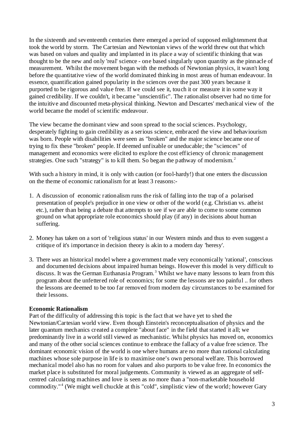In the sixteenth and seventeenth centuries there emerged a period of supposed enlightenment that took the world by storm. The Cartesian and Newtonian views of the world threw out that which was based on values and quality and implanted in its place a way of scientific thinking that was thought to be the new and only 'real' science - one based singularly upon quantity as the pinnacle of measurement. Whilst the movement began with the methods of Newtonian physics, it wasn't long before the quantitative view of the world dominated thinking in most areas of human endeavour. In essence, quantification gained popularity in the sciences over the past 300 years because it purported to be rigorous and value free. If we could see it, touch it or measure it in some way it gained credibility. If we couldn't, it became "unscientific". The rationalist observer had no time for the intuitive and discounted meta-physical thinking. Newton and Descartes' mechanical view of the world became the model of scientific endeavour.

The view became the dominant view and soon spread to the social sciences. Psychology, desperately fighting to gain credibility as a serious science, embraced the view and behaviourism was born. People with disabilities were seen as "broken" and the major science became one of trying to fix these "broken" people. If deemed unfixable or uneducable; the "sciences" of management and economics were elicited to explore the cost efficiency of chronic management strategies. One such "strategy" is to kill them. So began the pathway of modernism.<sup>2</sup>

With such a history in mind, it is only with caution (or fool-hardy!) that one enters the discussion on the theme of economic rationalism for at least 3 reasons:-

- 1. A discussion of economic rationalism runs the risk of falling into the trap of a polarised presentation of people's prejudice in one view or other of the world (e.g. Christian vs. atheist etc.), rather than being a debate that attempts to see if we are able to come to some common ground on what appropriate role economics should play (if any) in decisions about human suffering.
- 2. Money has taken on a sort of 'religious status' in our Western minds and thus to even suggest a critique of it's importance in decision theory is akin to a modern day 'heresy'.
- 3. There *was* an historical model where a government made very economically 'rational', conscious and documented decisions about impaired human beings. However this model is very difficult to discuss. It was the German Euthanasia Program.<sup>3</sup> Whilst we have many lessons to learn from this program about the unfettered role of economics; for some the lessons are too painful .. for others the lessons are deemed to be too far removed from modern day circumstances to be examined for their lessons.

#### **Economic Rationalism**

Part of the difficulty of addressing this topic is the fact that we have yet to shed the Newtonian/Cartesian world view. Even though Einstein's reconceptualisation of physics and the later quantum mechanics created a complete "about face" in the field that started it all; we predominantly live in a world still viewed as mechanistic. Whilst physics has moved on, economics and many of the other social sciences continue to embrace the fallacy of a value free science. The dominant economic vision of the world is one where humans are no more than rational calculating machines whose sole purpose in life is to maximise one's own personal welfare. This borrowed mechanical model also has no room for values and also purports to be value free. In economics the market place is substituted for moral judgements. Community is viewed as an aggregate of selfcentred calculating machines and love is seen as no more than a "non-marketable household commodity."<sup>4</sup> (We might well chuckle at this "cold", simplistic view of the world; however Gary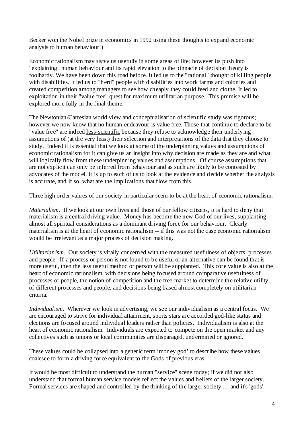Becker won the Nobel prize in economics in 1992 using these thoughts to expand economic analysis to human behaviour!)

Economic rationalism may *serve* us usefully in some areas of life; however its push into "explaining" human behaviour and its rapid elevation to the pinnacle of decision theory is foolhardy. We have been down this road before. It led us to the "rational" thought of killing people with disabilities. It led us to "herd" people with disabilities into work farms and colonies and created competition among managers to see how cheaply they could feed and clothe. It led to exploitation in their "value free" quest for maximum utilitarian purpose. This premise will be explored more fully in the final theme.

The Newtonian/Cartesian world view and conceptualisation of scientific study was rigorous; however we now know that no human endeavour is value free. Those that continue to declare to be "value free" are indeed less-scientific because they refuse to acknowledge their underlying assumptions of (at the very least) their selection and interpretations of the data that they choose to study. Indeed it is essential that we look at some of the underpinning values and assumptions of economic rationalism for it can give us an insight into why decision are made as they are and what will logically flow from these underpinning values and assumptions. Of course assumptions that are not explicit can only be inferred from behaviour and as such are likely to be contested by advocates of the model. It is up to each of us to look at the evidence and decide whether the analysis is accurate, and if so, what are the implications that flow from this.

Three high order values of our society in particular seem to be at the heart of economic rationalism:

*Materialism.* If we look at our own lives and those of our fellow citizens, it is hard to deny that materialism is a central driving value. Money has become the new God of our lives, supplanting almost all spiritual considerations as a dominant driving force for our behaviour. Clearly materialism is at the heart of economic rationalism -- if this was not the case economic rationalism would be irrelevant as a major process of decision making.

*Utilitarianism.* Our society is vitally concerned with the measured usefulness of objects, processes and people. If a process or person is not found to be useful or an alternative can be found that is more useful, then the less useful method or person will be supplanted. This core value is also at the heart of economic rationalism, with decisions being focused around comparative usefulness of processes or people, the notion of competition and the free market to determine the relative utility of different processes and people, and decisions being based almost completely on utilitarian criteria.

*Individualism*. Wherever we look in advertising, we see our individualism as a central focus. We are encouraged to strive for individual attainment, sports stars are accorded god-like status and elections are focused around individual leaders rather than policies. Individualism is also at the heart of economic rationalism. Individuals are expected to compete on the open market and any collectives such as unions or local communities are disparaged, undermined or ignored.

These values could be collapsed into a generic term 'money god' to describe how these values coalesce to form a driving force equivalent to the Gods of previous eras.

It would be most difficult to understand the human "service" scene today; if we did not also understand that formal human service models reflect the values and beliefs of the larger society. Formal services are shaped and controlled by the thinking of the larger society … and it's 'gods'.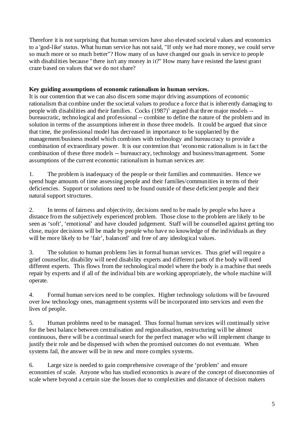Therefore it is not surprising that human services have also elevated societal values and economics to a 'god-like' status. What human service has not said, "If only we had more money, we could serve so much more or so much better"? How many of us have changed our goals in service to people with disabilities because "there isn't any money in it?" How many have resisted the latest grant craze based on values that we do not share?

## **Key guiding assumptions of economic rationalism in human services.**

It is our contention that we can also discern some major driving assumptions of economic rationalism that combine under the societal values to produce a force that is inherently damaging to people with disabilities and their families. Cocks (1987)<sup>5</sup> argued that three major models -bureaucratic, technological and professional -- combine to define the nature of the problem and its solution in terms of the assumptions inherent in those three models. It could be argued that since that time, the professional model has decreased in importance to be supplanted by the management/business model which combines with technology and bureaucracy to provide a combination of extraordinary power. It is our contention that 'economic rationalism is in fact the combination of these three models -- bureaucracy, technology and business/management. Some assumptions of the current economic rationalism in human services are:

1. The problem is inadequacy of the people or their families and communities. Hence we spend huge amounts of time assessing people and their families/communities in terms of their deficiencies. Support or solutions need to be found outside of these deficient people and their natural support structures.

2. In terms of fairness and objectivity, decisions need to be made by people who have a distance from the subjectively experienced problem. Those close to the problem are likely to be seen as 'soft', 'emotional' and have clouded judgement. Staff will be counselled against getting too close, major decisions will be made by people who have no knowledge of the individuals as they will be more likely to be 'fair', balanced' and free of any ideological values.

3. The solution to human problems lies in formal human services. Thus grief will require a grief counsellor, disability will need disability experts and different parts of the body will need different experts. This flows from the technological model where the body is a machine that needs repair by experts and if all of the individual bits are working appropriately, the whole machine will operate.

4. Formal human services need to be complex. Higher technology solutions will be favoured over low technology ones, management systems will be incorporated into services and even the lives of people.

5. Human problems need to be managed. Thus formal human services will continually strive for the best balance between centralisation and regionalisation, restructuring will be almost continuous, there will be a continual search for the perfect manager who will implement change to justify their role and be dispensed with when the promised outcomes do not eventuate. When systems fail, the answer will be in new and more complex systems.

6. Large size is needed to gain comprehensive coverage of the 'problem' and ensure economies of scale. Anyone who has studied economics is aware of the concept of diseconomies of scale where beyond a certain size the losses due to complexities and distance of decision makers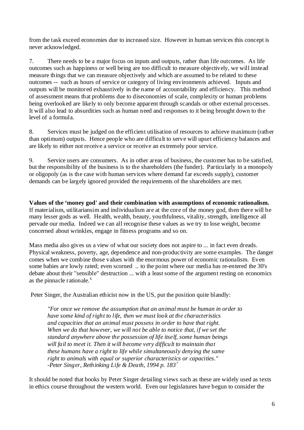from the task exceed economies due to increased size. However in human services this concept is never acknowledged.

7. There needs to be a major focus on inputs and outputs, rather than life outcomes. As life outcomes such as happiness or well being are too difficult to measure objectively, we will instead measure things that we can measure objectively and which are assumed to be related to these outcomes -- such as hours of service or category of living environments achieved. Inputs and outputs will be monitored exhaustively in the name of accountability and efficiency. This method of assessment means that problems due to diseconomies of scale, complexity or human problems being overlooked are likely to only become apparent through scandals or other external processes. It will also lead to absurdities such as human need and responses to it being brought down to the level of a formula.

8. Services must be judged on the efficient utilisation of resources to achieve maximum (rather than optimum) outputs. Hence people who are difficult to serve will upset efficiency balances and are likely to either not receive a service or receive an extremely poor service.

9. Service users are consumers. As in other areas of business, the customer has to be satisfied, but the responsibility of the business is to the shareholders (the funder). Particularly in a monopoly or oligopoly (as is the case with human services where demand far exceeds supply), customer demands can be largely ignored provided the requirements of the shareholders are met.

**Values of the 'money god' and their combination with assumptions of economic rationalism.** If materialism, utilitariansim and individualism are at the core of the money god, then there will be many lesser gods as well. Health, wealth, beauty, youthfulness, vitality, strength, intelligence all pervade our media. Indeed we can all recognise these values as we try to lose weight, become concerned about wrinkles, engage in fitness programs and so on.

Mass media also gives us a view of what our society does not aspire to ... in fact even dreads. Physical weakness, poverty, age, dependence and non-productivity are some examples. The danger comes when we combine those values with the enormous power of economic rationalism. Even some babies are lowly rated; even scorned .. to the point where our media has re-entered the 30's debate about their "sensible" destruction ... with a least some of the argument resting on economics as the pinnacle rationale. <sup>6</sup>

Peter Singer, the Australian ethicist now in the US, put the position quite blandly:

*"For once we remove the assumption that an animal must be human in order to have some kind of right to life, then we must look at the characteristics and capacities that an animal must possess in order to have that right. When we do that however, we will not be able to notice that, if we set the standard anywhere above the possession of life itself, some human beings will fail to meet it. Then it will become very difficult to maintain that these humans have a right to life while simultaneously denying the same right to animals with equal or superior characteristics or capacities." -Peter Singer, Rethinking Life & Death, 1994 p. 183<sup>7</sup>*

It should be noted that books by Peter Singer detailing views such as these are widely used as texts in ethics course throughout the western world. Even our legislatures have begun to consider the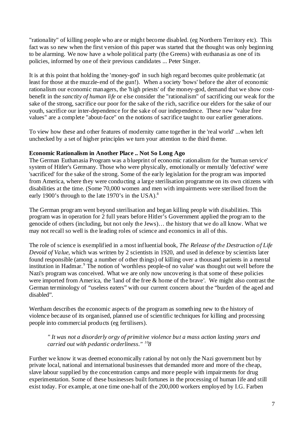"rationality" of killing people who are or might become disabled. (eg Northern Territory etc). This fact was so new when the first version of this paper was started that the thought was only beginning to be alarming. We now have a whole political party (the Greens) with euthanasia as one of its policies, informed by one of their previous candidates ... Peter Singer.

It is at this point that holding the 'money-god' in such high regard becomes quite problematic (at least for those at the muzzle-end of the gun!). When a society 'bows' before the alter of economic rationalism our economic managers, the 'high priests' of the money-god, demand that we show costbenefit in the *sanctity of human life* or else consider the "rationalism" of sacrificing our weak for the sake of the strong, sacrifice our poor for the sake of the rich, sacrifice our elders for the sake of our youth, sacrifice our inter-dependence for the sake of our independence. These new "value free values" are a complete "about-face" on the notions of sacrifice taught to our earlier generations.

To view how these and other features of modernity came together in the 'real world' ...when left unchecked by a set of higher principles we turn your attention to the third theme.

#### **Economic Rationalism in Another Place .. Not So Long Ago**

The German Euthanasia Program was a blueprint of economic rationalism for the 'human service' system of Hitler's Germany. Those who were physically, emotionally or mentally 'defective' were 'sacrificed' for the sake of the strong. Some of the early legislation for the program was imported from America, where they were conducting a large sterilisation programme on its own citizens with disabilities at the time. (Some 70,000 women and men with impairments were sterilised from the early 1900's through to the late 1970's in the USA).<sup>8</sup>

The German program went beyond sterilisation and began killing people with disabilities. This program was in operation for 2 full years before Hitler's Government applied the program to the genocide of others (including, but not only the Jews)… the history that we do all know. What we may not recall so well is the leading roles of science and economics in all of this.

The role of science is exemplified in a most influential book, *The Release of the Destruction of Life Devoid of Value,* which was written by 2 scientists in 1920, and used in defence by scientists later found responsible (among a number of other things) of killing over a thousand patients in a mental institution in Hadmar.<sup>9</sup> The notion of 'worthless people-of no value' was thought out well before the Nazi's program was conceived. What we are only now uncovering is that some of these policies were imported from America, the 'land of the free & home of the brave'. We might also contrast the German terminology of "useless eaters" with our current concern about the "burden of the aged and disabled".

Wertham describes the economic aspects of the program as something new to the history of violence because of its organised, planned use of scientific techniques for killing and processing people into commercial products (eg fertilisers).

#### *" It was not a disorderly orgy of primitive violence but a mass action lasting years and carried out with pedantic orderliness." 108*

Further we know it was deemed economically rational by not only the Nazi government but by private local, national and international businesses that demanded more and more of the cheap, slave labour supplied by the concentration camps and more people with impairments for drug experimentation. Some of these businesses built fortunes in the processing of human life and still exist today. For example, at one time one-half of the 200,000 workers employed by I.G. Farben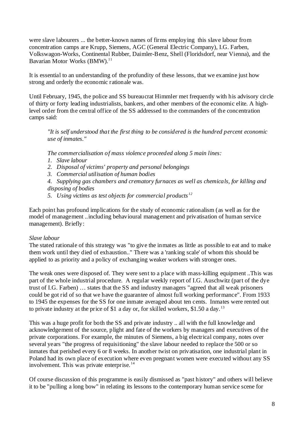were slave labourers ... the better-known names of firms employing this slave labour from concentration camps are Krupp, Siemens, AGC (General Electric Company), I.G. Farben, Volkswagon-Works, Continental Rubber, Daimler-Benz, Shell (Floridsdorf, near Vienna), and the Bavarian Motor Works  $(BMW)^{11}$ .

It is essential to an understanding of the profundity of these lessons, that we examine just how strong and orderly the economic rationale was.

Until February, 1945, the police and SS bureaucrat Himmler met frequently with his advisory circle of thirty or forty leading industrialists, bankers, and other members of the economic elite. A highlevel order from the central office of the SS addressed to the commanders of the concentration camps said:

*"It is self understood that the first thing to be considered is the hundred percent economic use of inmates."*

*The commercialisation of mass violence proceeded along 5 main lines:* 

- *1. Slave labour*
- *2. Disposal of victims' property and personal belongings*
- *3. Commercial utilisation of human bodies*

*4. Supplying gas chambers and crematory furnaces as well as chemicals, for killing and disposing of bodies*

*5. Using victims as test objects for commercial products <sup>12</sup>*

Each point has profound implications for the study of economic rationalism (as well as for the model of management ..including behavioural management and privatisation of human service management). Briefly:

#### *Slave labour*

The stated rationale of this strategy was "to give the inmates as little as possible to eat and to make them work until they died of exhaustion.." There was a 'ranking scale' of whom this should be applied to as priority and a policy of exchanging weaker workers with stronger ones.

The weak ones were disposed of. They were sent to a place with mass-killing equipment ..This was part of the whole industrial procedure. A regular weekly report of I.G. Auschwitz (part of the dye trust of I.G. Farben) … states that the SS and industry managers "agreed that all weak prisoners could be got rid of so that we have the guarantee of almost full working performance". From 1933 to 1945 the expenses for the SS for one inmate averaged about ten cents. Inmates were rented out to private industry at the price of \$1 a day or, for skilled workers, \$1.50 a day.<sup>13</sup>

This was a huge profit for both the SS and private industry .. all with the full knowledge and acknowledgement of the source, plight and fate of the workers by managers and executives of the private corporations. For example, the minutes of Siemens, a big electrical company, notes over several years "the progress of requisitioning" the slave labour needed to replace the 500 or so inmates that perished every 6 or 8 weeks. In another twist on privatisation, one industrial plant in Poland had its own place of execution where even pregnant women were executed without any SS involvement. This was private enterprise.<sup>14</sup>

Of course discussion of this programme is easily dismissed as "past history" and others will believe it to be "pulling a long bow" in relating its lessons to the contemporary human service scene for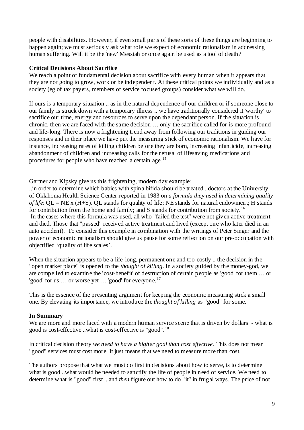people with disabilities. However, if even small parts of these sorts of these things are beginning to happen again; we must seriously ask what role we expect of economic rationalism in addressing human suffering. Will it be the 'new' Messiah or once again be used as a tool of death?

## **Critical Decisions About Sacrifice**

We reach a point of fundamental decision about sacrifice with every human when it appears that they are not going to grow, work or be independent. At these critical points we individually and as a society (eg of tax payers, members of service focused groups) consider what we will do.

If ours is a temporary situation .. as in the natural dependence of our children or if someone close to our family is struck down with a temporary illness .. we have traditionally considered it 'worthy' to sacrifice our time, energy and resources to serve upon the dependant person. If the situation is chronic, then we are faced with the same decision … only the sacrifice called for is more profound and life-long. There is now a frightening trend away from following our traditions in guiding our responses and in their place we have put the measuring stick of economic rationalism. We have for instance, increasing rates of killing children before they are born, increasing infanticide, increasing abandonment of children and increasing calls for the refusal of lifesaving medications and procedures for people who have reached a certain age. <sup>15</sup>

Gartner and Kipsky give us this frightening, modern day example:

..in order to determine which babies with spina bifida should be treated ..doctors at the University of Oklahoma Health Science Center reported in 1983 on *a formula they used in determining quality of life*: QL = NE x (H+S). QL stands for quality of life; NE stands for natural endowment; H stands for contribution from the home and family; and S stands for contribution from society.<sup>16</sup> In the cases where this formula was used, all who "failed the test" were not given active treatment and died. Those that "passed" received active treatment and lived (except one who later died in an auto accident). To consider this example in combination with the writings of Peter Singer and the power of economic rationalism should give us pause for some reflection on our pre-occupation with objectified 'quality of life scales'.

When the situation appears to be a life-long, permanent one and too costly .. the decision in the "open market place" is opened to the *thought of killing*. In a society guided by the money-god, we are compelled to examine the 'cost-benefit' of destruction of certain people as 'good' for them … or 'good' for us  $\ldots$  or worse yet  $\ldots$  'good' for everyone.<sup>17</sup>

This is the essence of the presenting argument for keeping the economic measuring stick a small one. By elevating its importance, we introduce the *thought of killing* as "good" for some.

## **In Summary**

We are more and more faced with a modern human service scene that is driven by dollars - what is good is cost-effective ..what is cost-effective is "good". <sup>18</sup>

In critical decision theory *we need to have a higher goal than cost effective*. This does not mean "good" services must cost more. It just means that we need to measure more than cost.

The authors propose that what we must do first in decisions about how to serve, is to determine what is good ..what would be needed to sanctify the life of people in need of service. We need to determine what is "good" first .. and *then* figure out how to do "it" in frugal ways. The price of not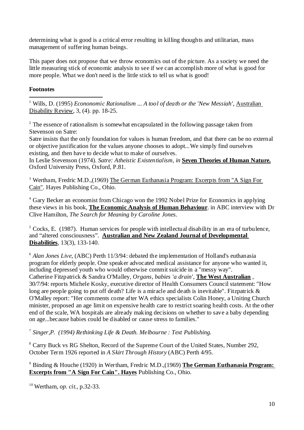determining what is good is a critical error resulting in killing thoughts and utilitarian, mass management of suffering human beings.

This paper does not propose that we throw economics out of the picture. As a society we need the little measuring stick of economic analysis to see if we can accomplish more of what is good for more people. What we don't need is the little stick to tell us what is good!

## **Footnotes**

 1 Wills, D. (1995) *Econonomic Rationalism ... A tool of death or the 'New Messiah'*, Australian Disability Review, 3, (4). pp. 18-25.

 $2^2$  The essence of rationalism is somewhat encapsulated in the following passage taken from Stevenson on Satre:

Satre insists that the only foundation for values is human freedom, and that there can be no external or objective justification for the values anyone chooses to adopt...We simply find ourselves existing, and then have to decide what to make of ourselves.

In Leslie Stevenson (1974). *Satre: Atheistic Existentialism, in* **Seven Theories of Human Nature.** Oxford University Press, Oxford, P.81.

<sup>3</sup> Wertham, Fredric M.D.,(1969) The German Euthanasia Program: Excerpts from "A Sign For Cain". Hayes Publishing Co., Ohio.

<sup>4</sup> Gary Becker an economist from Chicago won the 1992 Nobel Prize for Economics in applying these views in his book, **The Economic Analysis of Human Behaviour**. in ABC interview with Dr Clive Hamilton, *The Search for Meaning by Caroline Jones.*

 $<sup>5</sup> Cocks, E.$  (1987). Human services for people with intellectual disability in an era of turbulence,</sup> and "altered consciousness". **Australian and New Zealand Journal of Developmental Disabilities**, 13(3), 133-140.

<sup>6</sup> *Alan Jones Live*, (ABC) Perth 11/3/94: debated the implementation of Holland's euthanasia program for elderly people. One speaker advocated medical assistance for anyone who wanted it, including depressed youth who would otherwise commit suicide in a "messy way". Catherine Fitzpatrick & Sandra O'Malley, *Organs, babies 'a drain',* **The West Australian** , 30/7/94: reports Michele Kosky, executive director of Health Consumers Council statement: "How long are people going to put off death? Life is a miracle and death is inevitable". Fitzpatrick & O'Malley report: "Her comments come after WA ethics specialists Colin Honey, a Uniting Church minister, proposed an age limit on expensive health care to restrict soaring health costs. At the other end of the scale, WA hospitals are already making decisions on whether to save a baby depending on age...because babies could be disabled or cause stress to families."

<sup>7</sup> *Singer,P. (1994) Rethinking Life & Death. Melbourne : Text Publishing.*

<sup>8</sup> Carry Buck vs RG Shelton, Record of the Supreme Court of the United States, Number 292, October Term 1926 reported in *A Skirt Through History* (ABC) Perth 4/95.

<sup>9</sup> Binding & Houche (1920) in Wertham, Fredric M.D.,(1969) **The German Euthanasia Program: Excerpts from "A Sign For Cain". Hayes** Publishing Co., Ohio.

<sup>10</sup> Wertham, *op. cit.,* p.32-33.